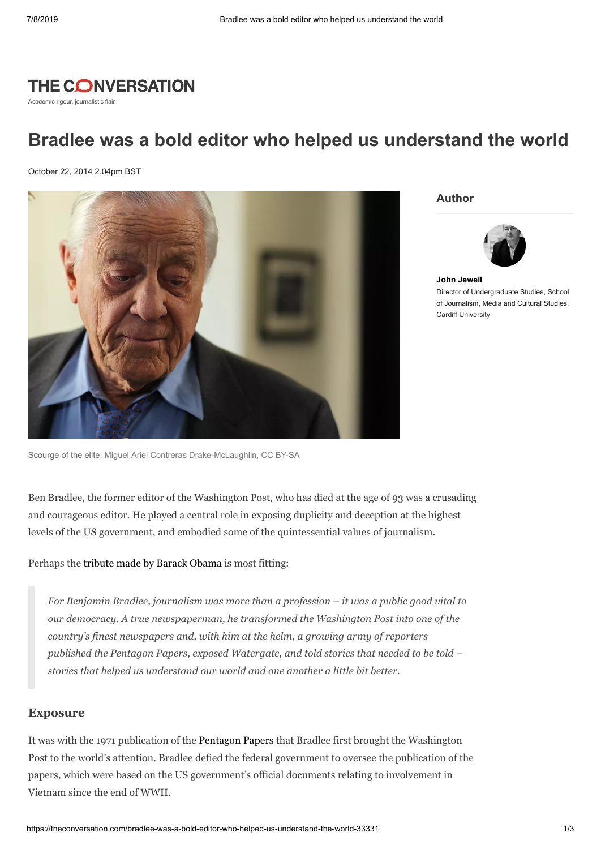

Academic rigour, journalistic flair

## **Bradlee was a bold editor who helped us understand the world**

October 22, 2014 2.04pm BST



**Author**



**John [Jewell](https://theconversation.com/profiles/john-jewell-100660)** Director of Undergraduate Studies, School of Journalism, Media and Cultural Studies, Cardiff University

Scourge of the elite. [Miguel Ariel Contreras Drake-McLaughlin](http://commons.wikimedia.org/wiki/File:Benjamin_C._Bradlee.jpg), [CC BY-SA](http://creativecommons.org/licenses/by-sa/4.0/)

Ben Bradlee, the former editor of the Washington Post, who has died at the age of 93 was a crusading and courageous editor. He played a central role in exposing duplicity and deception at the highest levels of the US government, and embodied some of the quintessential values of journalism.

Perhaps the tribute made by Barack [Obama](https://twitter.com/WhiteHouse/status/524733844268646402) is most fitting:

*For Benjamin Bradlee, journalism was more than a profession – it was a public good vital to our democracy. A true newspaperman, he transformed the Washington Post into one of the country's finest newspapers and, with him at the helm, a growing army of reporters published the Pentagon Papers, exposed Watergate, and told stories that needed to be told – stories that helped us understand our world and one another a little bit better.*

## **Exposure**

It was with the 1971 publication of the [Pentagon](http://www.archives.gov/research/pentagon-papers/) Papers that Bradlee first brought the Washington Post to the world's attention. Bradlee defied the federal government to oversee the publication of the papers, which were based on the US government's official documents relating to involvement in Vietnam since the end of WWII.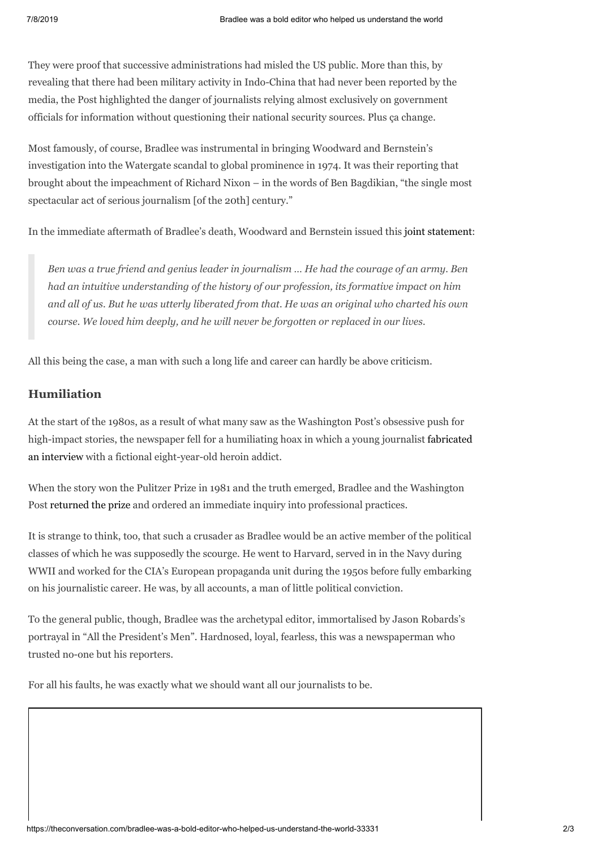They were proof that successive administrations had misled the US public. More than this, by revealing that there had been military activity in Indo-China that had never been reported by the media, the Post highlighted the danger of journalists relying almost exclusively on government officials for information without questioning their national security sources. Plus ça change.

Most famously, of course, Bradlee was instrumental in bringing Woodward and Bernstein's investigation into the Watergate scandal to global prominence in 1974. It was their reporting that brought about the impeachment of Richard Nixon – in the words of Ben Bagdikian, "the single most spectacular act of serious journalism [of the 20th] century."

In the immediate aftermath of Bradlee's death, Woodward and Bernstein issued this joint [statement](http://nymag.com/daily/intelligencer/2014/10/journalists-remember-bradlee-as-genius-leader.html):

*Ben was a true friend and genius leader in journalism … He had the courage of an army. Ben had an intuitive understanding of the history of our profession, its formative impact on him and all of us. But he was utterly liberated from that. He was an original who charted his own course. We loved him deeply, and he will never be forgotten or replaced in our lives.*

All this being the case, a man with such a long life and career can hardly be above criticism.

## **Humiliation**

At the start of the 1980s, as a result of what many saw as the Washington Post's obsessive push for high-impact stories, the newspaper fell for a humiliating hoax in which a young journalist fabricated an interview with a fictional [eight-year-old](http://www.theroot.com/blogs/journalisms/2010/10/janet_cookes_hoax_still_resonates_after_30_years.html) heroin addict.

When the story won the Pulitzer Prize in 1981 and the truth emerged, Bradlee and the Washington Post [returned](http://news.google.com/newspapers?nid=1350&dat=19810416&id=mT1PAAAAIBAJ&sjid=mgIEAAAAIBAJ&pg=6746,18132) the prize and ordered an immediate inquiry into professional practices.

It is strange to think, too, that such a crusader as Bradlee would be an active member of the political classes of which he was supposedly the scourge. He went to Harvard, served in in the Navy during WWII and worked for the CIA's European propaganda unit during the 1950s before fully embarking on his journalistic career. He was, by all accounts, a man of little political conviction.

To the general public, though, Bradlee was the archetypal editor, immortalised by Jason Robards's portrayal in "All the President's Men". Hardnosed, loyal, fearless, this was a newspaperman who trusted no-one but his reporters.

For all his faults, he was exactly what we should want all our journalists to be.